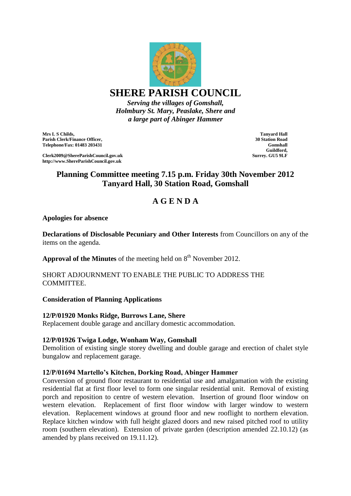

*Serving the villages of Gomshall, Holmbury St. Mary, Peaslake, Shere and a large part of Abinger Hammer*

**Mrs L S Childs, Parish Clerk/Finance Officer, Telephone/Fax: 01483 203431**

**Clerk2009@ShereParishCouncil.gov.uk http://www.ShereParishCouncil.gov.uk**

**Tanyard Hall 30 Station Road Gomshall Guildford, Surrey. GU5 9LF**

# **Planning Committee meeting 7.15 p.m. Friday 30th November 2012 Tanyard Hall, 30 Station Road, Gomshall**

# **A G E N D A**

## **Apologies for absence**

**Declarations of Disclosable Pecuniary and Other Interests** from Councillors on any of the items on the agenda.

**Approval of the Minutes** of the meeting held on  $8<sup>th</sup>$  November 2012.

## SHORT ADJOURNMENT TO ENABLE THE PUBLIC TO ADDRESS THE COMMITTEE.

#### **Consideration of Planning Applications**

#### **12/P/01920 Monks Ridge, Burrows Lane, Shere**

Replacement double garage and ancillary domestic accommodation.

#### **12/P/01926 Twiga Lodge, Wonham Way, Gomshall**

Demolition of existing single storey dwelling and double garage and erection of chalet style bungalow and replacement garage.

#### **12/P/01694 Martello's Kitchen, Dorking Road, Abinger Hammer**

Conversion of ground floor restaurant to residential use and amalgamation with the existing residential flat at first floor level to form one singular residential unit. Removal of existing porch and reposition to centre of western elevation. Insertion of ground floor window on western elevation. Replacement of first floor window with larger window to western elevation. Replacement windows at ground floor and new rooflight to northern elevation. Replace kitchen window with full height glazed doors and new raised pitched roof to utility room (southern elevation). Extension of private garden (description amended 22.10.12) (as amended by plans received on 19.11.12).